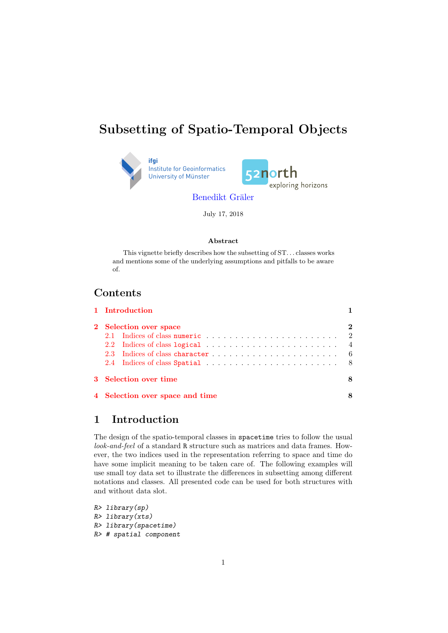# Subsetting of Spatio-Temporal Objects



July 17, 2018

#### Abst Abstract

This vignette briefly describes how the subsetting of ST... classes works and mentions some of the underlying assumptions and pitfalls to be aware of.

# Contents

|                                 | 1 Introduction |   |  |
|---------------------------------|----------------|---|--|
| 2 Selection over space          |                |   |  |
|                                 |                |   |  |
|                                 |                |   |  |
|                                 |                |   |  |
|                                 |                |   |  |
| 3 Selection over time           |                | 8 |  |
| 4 Selection over space and time |                | 8 |  |

# <span id="page-0-0"></span>1 Introduction

The design of the spatio-temporal classes in spacetime tries to follow the usual look-and-feel of a standard R structure such as matrices and data frames. However, the two indices used in the representation referring to space and time do have some implicit meaning to be taken care of. The following examples will use small toy data set to illustrate the differences in subsetting among different notations and classes. All presented code can be used for both structures with and without data slot.

```
R> library(sp)
R> library(xts)
R> library(spacetime)
R> # spatial component
```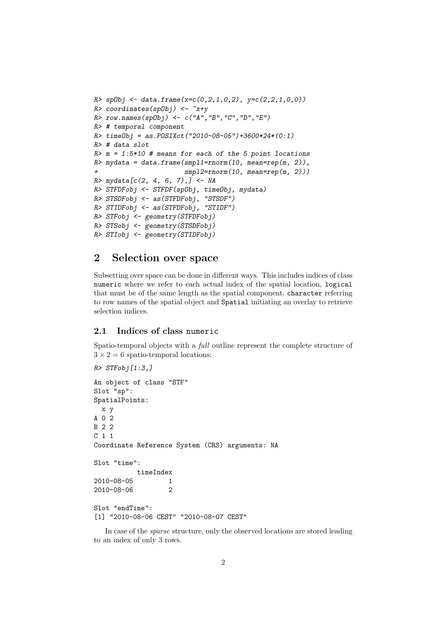```
R> spObj \leq data.frame(x=c(0,2,1,0,2), y=c(2,2,1,0,0))
R> coordinates(spObj) <- x+yR row.names(spObj) <- c("A","B","C","D","E")
R> # temporal component
R timeObj = as. POSIXct("2010-08-05")+3600*24*(0:1)
R> # data slot
R > m = 1:5*10 # means for each of the 5 point locationsR> mydata = data.frame(smpl1=rnorm(10, mean=rep(m, 2)),
                       smp12=rrnorm(10, mean=rep(m, 2)))R > mydata[c(2, 4, 6, 7),] < -NAR> STFDFobj <- STFDF(spObj, timeObj, mydata)
R> STSDFobj <- as(STFDFobj, "STSDF")
R> STIDFobj <- as(STFDFobj, "STIDF")
R> STFobj <- geometry(STFDFobj)
R> STSobj <- geometry(STSDFobj)
R> STIobj <- geometry(STIDFobj)
```
### <span id="page-1-0"></span>2 Selection over space

Subsetting over space can be done in different ways. This includes indices of class numeric where we refer to each actual index of the spatial location, logical that must be of the same length as the spatial component, character referring to row names of the spatial object and Spatial initiating an overlay to retrieve selection indices.

#### <span id="page-1-1"></span>2.1 Indices of class numeric

Spatio-temporal objects with a full outline represent the complete structure of  $3 \times 2 = 6$  spatio-temporal locations:

```
R > STFobj[1:3]An object of class "STF"
Slot "sp":
SpatialPoints:
 x y
A 0 2
B 2 2
C 1 1
Coordinate Reference System (CRS) arguments: NA
Slot "time":
          timeIndex
2010-08-05 1
2010-08-06 2
Slot "endTime":
[1] "2010-08-06 CEST" "2010-08-07 CEST"
```
In case of the sparse structure, only the observed locations are stored leading to an index of only 3 rows.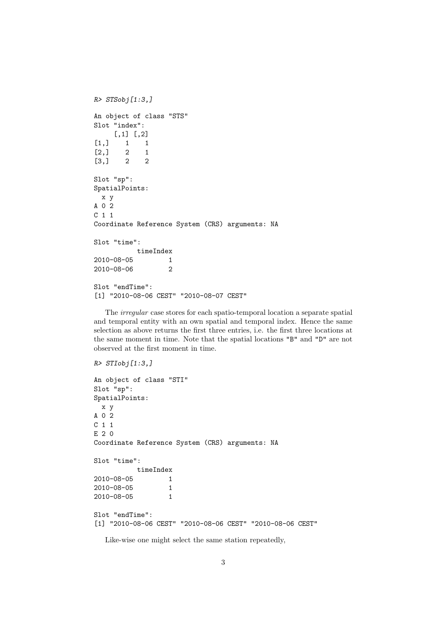```
R> STSobj[1:3,]
An object of class "STS"
Slot "index":
     [,1] [,2][1,] 1 1[2,] 2 1[3,] 2 2Slot "sp":
SpatialPoints:
 x y
A 0 2
C 1 1
Coordinate Reference System (CRS) arguments: NA
Slot "time":
          timeIndex
2010-08-05 1<br>2010-08-06 2
2010 - 08 - 06Slot "endTime":
[1] "2010-08-06 CEST" "2010-08-07 CEST"
```
The irregular case stores for each spatio-temporal location a separate spatial and temporal entity with an own spatial and temporal index. Hence the same selection as above returns the first three entries, i.e. the first three locations at the same moment in time. Note that the spatial locations "B" and "D" are not observed at the first moment in time.

```
R> STIobj[1:3,]
```

```
An object of class "STI"
Slot "sp":
SpatialPoints:
 x y
A 0 2
C 1 1
E 2 0
Coordinate Reference System (CRS) arguments: NA
Slot "time":
          timeIndex
2010-08-05 1
2010-08-05 1
2010-08-05 1
Slot "endTime":
[1] "2010-08-06 CEST" "2010-08-06 CEST" "2010-08-06 CEST"
```
Like-wise one might select the same station repeatedly,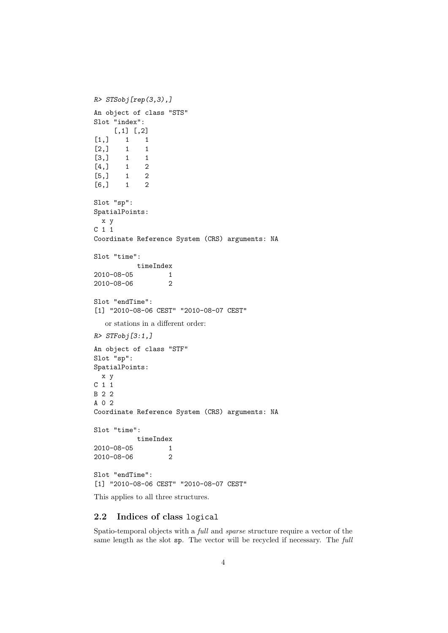```
R> STSobj[rep(3,3),]
An object of class "STS"
Slot "index":
     [,1] [,2]
[1,] 1 1[2,] 1 1[3,] 1 1
[4,] 1 2[5,] 1 2
[6,] 1 2
Slot "sp":
SpatialPoints:
 x y
C 1 1
Coordinate Reference System (CRS) arguments: NA
Slot "time":
          timeIndex
2010-08-05 1<br>2010-08-06 2
2010 - 08 - 06Slot "endTime":
[1] "2010-08-06 CEST" "2010-08-07 CEST"
  or stations in a different order:
R> STFobj[3:1,]
An object of class "STF"
Slot "sp":
SpatialPoints:
 x y
C 1 1
B 2 2
A 0 2
Coordinate Reference System (CRS) arguments: NA
Slot "time":
         timeIndex
2010-08-05 1
2010-08-06 2
Slot "endTime":
[1] "2010-08-06 CEST" "2010-08-07 CEST"
```
This applies to all three structures.

#### <span id="page-3-0"></span>2.2 Indices of class logical

Spatio-temporal objects with a full and sparse structure require a vector of the same length as the slot sp. The vector will be recycled if necessary. The full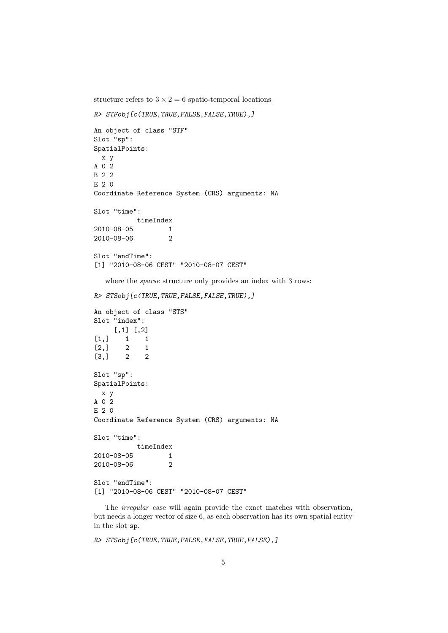structure refers to  $3 \times 2 = 6$  spatio-temporal locations

```
R> STFobj[c(TRUE,TRUE,FALSE,FALSE,TRUE),]
An object of class "STF"
Slot "sp":
SpatialPoints:
  x y
A 0 2
B 2 2
E 2 0
Coordinate Reference System (CRS) arguments: NA
Slot "time":
          timeIndex
2010-08-05 1
2010-08-06 2
Slot "endTime":
[1] "2010-08-06 CEST" "2010-08-07 CEST"
   where the sparse structure only provides an index with 3 rows:
R> STSobj[c(TRUE,TRUE,FALSE,FALSE,TRUE),]
An object of class "STS"
Slot "index":
    [,1] [,2]
[1,] 1 1[2,] 2 1[3,] 2 2Slot "sp":
SpatialPoints:
 x y
A 0 2
E 2 0
Coordinate Reference System (CRS) arguments: NA
Slot "time":
          timeIndex
2010-08-05 1<br>2010-08-06 2
2010 - 08 - 06
```
Slot "endTime": [1] "2010-08-06 CEST" "2010-08-07 CEST"

The irregular case will again provide the exact matches with observation, but needs a longer vector of size 6, as each observation has its own spatial entity in the slot sp.

R> STSobj[c(TRUE,TRUE,FALSE,FALSE,TRUE,FALSE),]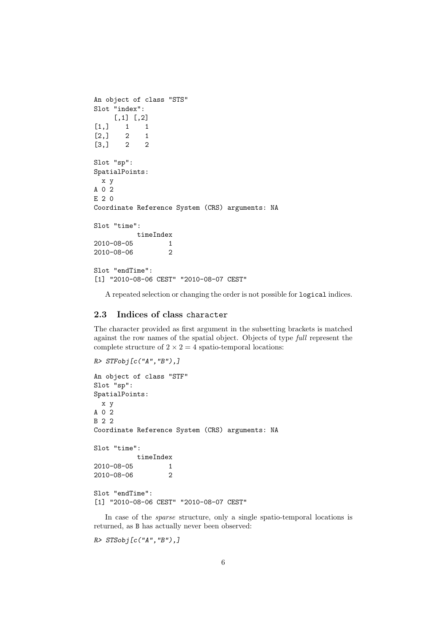```
An object of class "STS"
Slot "index":
    [,1] [,2][1,] 1 1[2,] 2 1[3,] 2 2Slot "sp":
SpatialPoints:
 x y
A 0 2
E 2 0
Coordinate Reference System (CRS) arguments: NA
Slot "time":
         timeIndex
2010-08-05 1
2010-08-06 2
Slot "endTime":
[1] "2010-08-06 CEST" "2010-08-07 CEST"
```
A repeated selection or changing the order is not possible for logical indices.

#### <span id="page-5-0"></span>2.3 Indices of class character

The character provided as first argument in the subsetting brackets is matched against the row names of the spatial object. Objects of type full represent the complete structure of  $2 \times 2 = 4$  spatio-temporal locations:

```
R > STFobj[c('A'', 'B''), ]An object of class "STF"
Slot "sp":
SpatialPoints:
 x y
A 0 2
B 2 2
Coordinate Reference System (CRS) arguments: NA
Slot "time":
          timeIndex
2010-08-05 1
2010-08-06 2
Slot "endTime":
[1] "2010-08-06 CEST" "2010-08-07 CEST"
```
In case of the sparse structure, only a single spatio-temporal locations is returned, as B has actually never been observed:

```
R > STSobj[c('A'', "B''),]
```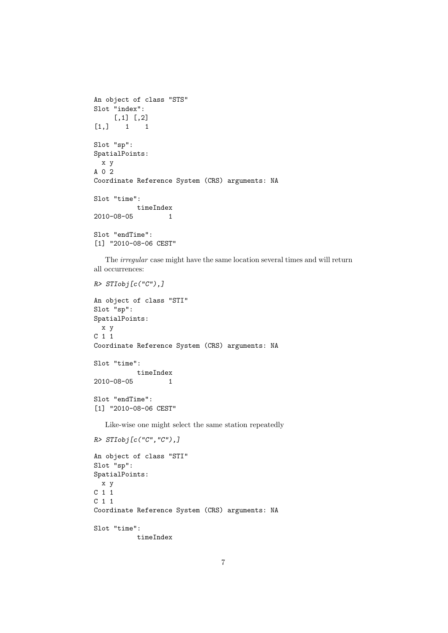```
An object of class "STS"
Slot "index":
    [,1] [,2][1,] 1 1Slot "sp":
SpatialPoints:
 x y
A 0 2
Coordinate Reference System (CRS) arguments: NA
Slot "time":
         timeIndex
2010-08-05 1
Slot "endTime":
[1] "2010-08-06 CEST"
```
The irregular case might have the same location several times and will return all occurrences:

```
R> STIobj[c("C"),]
```

```
An object of class "STI"
Slot "sp":
SpatialPoints:
 x y
C 1 1
Coordinate Reference System (CRS) arguments: NA
Slot "time":
           timeIndex
2010-08-05 1
Slot "endTime":
[1] "2010-08-06 CEST"
  Like-wise one might select the same station repeatedly
R > STIobj[c(''C'', 'C''), ]
```

```
An object of class "STI"
Slot "sp":
SpatialPoints:
 x y
C_1 1 1
C 1 1
Coordinate Reference System (CRS) arguments: NA
Slot "time":
           timeIndex
```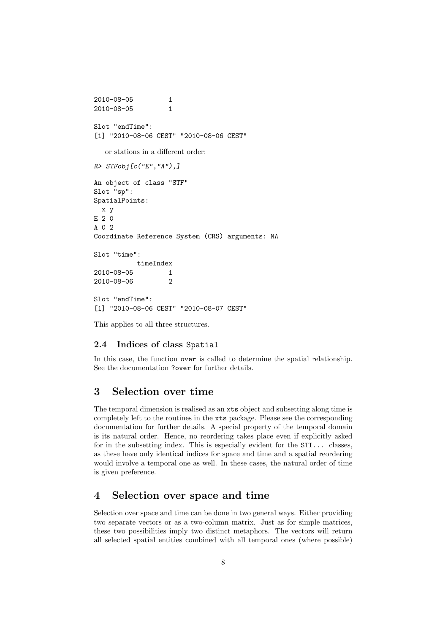```
2010-08-05 1
2010-08-05 1
Slot "endTime":
[1] "2010-08-06 CEST" "2010-08-06 CEST"
  or stations in a different order:
R > STFobj[c('E", "A"),
An object of class "STF"
Slot "sp":
SpatialPoints:
 x y
E 2 0
A 0 2
Coordinate Reference System (CRS) arguments: NA
Slot "time":
          timeIndex
2010-08-05 1
2010-08-06 2
Slot "endTime":
[1] "2010-08-06 CEST" "2010-08-07 CEST"
```
This applies to all three structures.

#### <span id="page-7-0"></span>2.4 Indices of class Spatial

In this case, the function over is called to determine the spatial relationship. See the documentation ?over for further details.

# <span id="page-7-1"></span>3 Selection over time

The temporal dimension is realised as an xts object and subsetting along time is completely left to the routines in the xts package. Please see the corresponding documentation for further details. A special property of the temporal domain is its natural order. Hence, no reordering takes place even if explicitly asked for in the subsetting index. This is especially evident for the STI... classes, as these have only identical indices for space and time and a spatial reordering would involve a temporal one as well. In these cases, the natural order of time is given preference.

## <span id="page-7-2"></span>4 Selection over space and time

Selection over space and time can be done in two general ways. Either providing two separate vectors or as a two-column matrix. Just as for simple matrices, these two possibilities imply two distinct metaphors. The vectors will return all selected spatial entities combined with all temporal ones (where possible)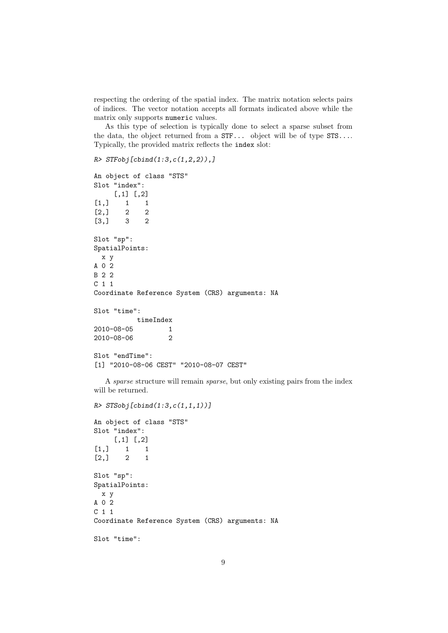respecting the ordering of the spatial index. The matrix notation selects pairs of indices. The vector notation accepts all formats indicated above while the matrix only supports numeric values.

As this type of selection is typically done to select a sparse subset from the data, the object returned from a STF... object will be of type STS.... Typically, the provided matrix reflects the index slot:

```
R> STFobj[cbind(1:3,c(1,2,2)),]
An object of class "STS"
Slot "index":
     [,1] [,2]\begin{bmatrix} 1, & 1 & 1 \\ 2, & 2 & 2 \end{bmatrix}[2,1][3,] 3 2Slot "sp":
SpatialPoints:
  x y
A 0 2
B 2 2
C 1 1
Coordinate Reference System (CRS) arguments: NA
Slot "time":
           timeIndex
2010-08-05 1
2010-08-06 2
Slot "endTime":
[1] "2010-08-06 CEST" "2010-08-07 CEST"
```
A sparse structure will remain sparse, but only existing pairs from the index will be returned.

```
R > STSobj[cbind(1:3, c(1,1,1))]
```

```
An object of class "STS"
Slot "index":
    [,1] [,2]
[1,] 1 1[2, 1 2 1Slot "sp":
SpatialPoints:
 x y
A 0 2
C 1 1
Coordinate Reference System (CRS) arguments: NA
Slot "time":
```